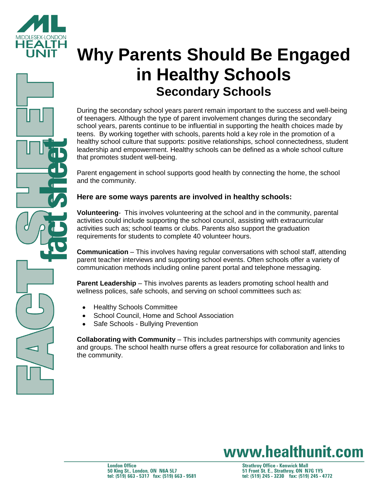

# **Why Parents Should Be Engaged in Healthy Schools Secondary Schools**

During the secondary school years parent remain important to the success and well-being of teenagers. Although the type of parent involvement changes during the secondary school years, parents continue to be influential in supporting the health choices made by teens. By working together with schools, parents hold a key role in the promotion of a healthy school culture that supports: positive relationships, school connectedness, student leadership and empowerment. Healthy schools can be defined as a whole school culture that promotes student well-being.

Parent engagement in school supports good health by connecting the home, the school and the community.

### **Here are some ways parents are involved in healthy schools:**

**Volunteering**- This involves volunteering at the school and in the community, parental activities could include supporting the school council, assisting with extracurricular activities such as; school teams or clubs. Parents also support the graduation requirements for students to complete 40 volunteer hours.

**Communication** – This involves having regular conversations with school staff, attending parent teacher interviews and supporting school events. Often schools offer a variety of communication methods including online parent portal and telephone messaging.

**Parent Leadership** – This involves parents as leaders promoting school health and wellness polices, safe schools, and serving on school committees such as:

- Healthy Schools Committee
- School Council, Home and School Association
- Safe Schools Bullying Prevention

**Collaborating with Community** – This includes partnerships with community agencies and groups. The school health nurse offers a great resource for collaboration and links to the community.

## www.healthunit.com